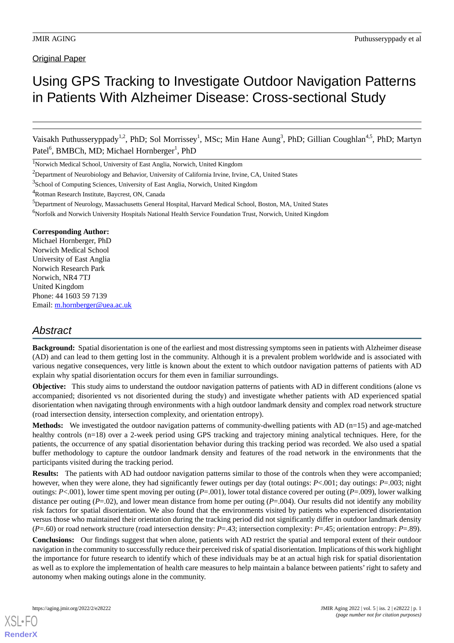### **Original Paper**

# Using GPS Tracking to Investigate Outdoor Navigation Patterns in Patients With Alzheimer Disease: Cross-sectional Study

Vaisakh Puthusseryppady<sup>1,2</sup>, PhD; Sol Morrissey<sup>1</sup>, MSc; Min Hane Aung<sup>3</sup>, PhD; Gillian Coughlan<sup>4,5</sup>, PhD; Martyn Patel<sup>6</sup>, BMBCh, MD; Michael Hornberger<sup>1</sup>, PhD

<sup>1</sup>Norwich Medical School, University of East Anglia, Norwich, United Kingdom

<sup>2</sup>Department of Neurobiology and Behavior, University of California Irvine, Irvine, CA, United States

<sup>3</sup>School of Computing Sciences, University of East Anglia, Norwich, United Kingdom

<sup>4</sup>Rotman Research Institute, Baycrest, ON, Canada

<sup>5</sup>Department of Neurology, Massachusetts General Hospital, Harvard Medical School, Boston, MA, United States <sup>6</sup>Norfolk and Norwich University Hospitals National Health Service Foundation Trust, Norwich, United Kingdom

### **Corresponding Author:**

Michael Hornberger, PhD Norwich Medical School University of East Anglia Norwich Research Park Norwich, NR4 7TJ United Kingdom Phone: 44 1603 59 7139 Email: [m.hornberger@uea.ac.uk](mailto:m.hornberger@uea.ac.uk)

## *Abstract*

**Background:** Spatial disorientation is one of the earliest and most distressing symptoms seen in patients with Alzheimer disease (AD) and can lead to them getting lost in the community. Although it is a prevalent problem worldwide and is associated with various negative consequences, very little is known about the extent to which outdoor navigation patterns of patients with AD explain why spatial disorientation occurs for them even in familiar surroundings.

**Objective:** This study aims to understand the outdoor navigation patterns of patients with AD in different conditions (alone vs accompanied; disoriented vs not disoriented during the study) and investigate whether patients with AD experienced spatial disorientation when navigating through environments with a high outdoor landmark density and complex road network structure (road intersection density, intersection complexity, and orientation entropy).

**Methods:** We investigated the outdoor navigation patterns of community-dwelling patients with AD (n=15) and age-matched healthy controls (n=18) over a 2-week period using GPS tracking and trajectory mining analytical techniques. Here, for the patients, the occurrence of any spatial disorientation behavior during this tracking period was recorded. We also used a spatial buffer methodology to capture the outdoor landmark density and features of the road network in the environments that the participants visited during the tracking period.

**Results:** The patients with AD had outdoor navigation patterns similar to those of the controls when they were accompanied; however, when they were alone, they had significantly fewer outings per day (total outings: *P*<.001; day outings: *P*=.003; night outings: *P*<.001), lower time spent moving per outing (*P*=.001), lower total distance covered per outing (*P*=.009), lower walking distance per outing (*P*=.02), and lower mean distance from home per outing (*P*=.004). Our results did not identify any mobility risk factors for spatial disorientation. We also found that the environments visited by patients who experienced disorientation versus those who maintained their orientation during the tracking period did not significantly differ in outdoor landmark density (*P*=.60) or road network structure (road intersection density: *P*=.43; intersection complexity: *P*=.45; orientation entropy: *P*=.89).

**Conclusions:** Our findings suggest that when alone, patients with AD restrict the spatial and temporal extent of their outdoor navigation in the community to successfully reduce their perceived risk of spatial disorientation. Implications of this work highlight the importance for future research to identify which of these individuals may be at an actual high risk for spatial disorientation as well as to explore the implementation of health care measures to help maintain a balance between patients'right to safety and autonomy when making outings alone in the community.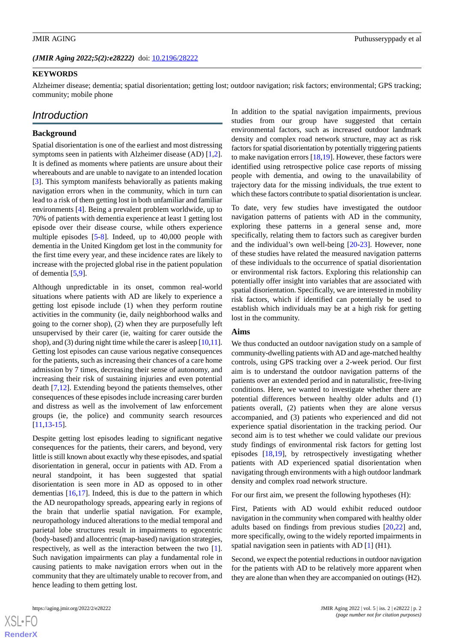(JMIR Aging 2022;5(2):e28222) doi: [10.2196/28222](http://dx.doi.org/10.2196/28222)

### **KEYWORDS**

Alzheimer disease; dementia; spatial disorientation; getting lost; outdoor navigation; risk factors; environmental; GPS tracking; community; mobile phone

## *Introduction*

### **Background**

Spatial disorientation is one of the earliest and most distressing symptoms seen in patients with Alzheimer disease (AD) [\[1](#page-12-0),[2\]](#page-12-1). It is defined as moments where patients are unsure about their whereabouts and are unable to navigate to an intended location [[3\]](#page-13-0). This symptom manifests behaviorally as patients making navigation errors when in the community, which in turn can lead to a risk of them getting lost in both unfamiliar and familiar environments [\[4](#page-13-1)]. Being a prevalent problem worldwide, up to 70% of patients with dementia experience at least 1 getting lost episode over their disease course, while others experience multiple episodes [[5](#page-13-2)-[8\]](#page-13-3). Indeed, up to 40,000 people with dementia in the United Kingdom get lost in the community for the first time every year, and these incidence rates are likely to increase with the projected global rise in the patient population of dementia [[5](#page-13-2)[,9](#page-13-4)].

Although unpredictable in its onset, common real-world situations where patients with AD are likely to experience a getting lost episode include (1) when they perform routine activities in the community (ie, daily neighborhood walks and going to the corner shop), (2) when they are purposefully left unsupervised by their carer (ie, waiting for carer outside the shop), and (3) during night time while the carer is asleep [[10,](#page-13-5)[11\]](#page-13-6). Getting lost episodes can cause various negative consequences for the patients, such as increasing their chances of a care home admission by 7 times, decreasing their sense of autonomy, and increasing their risk of sustaining injuries and even potential death [\[7](#page-13-7),[12\]](#page-13-8). Extending beyond the patients themselves, other consequences of these episodes include increasing carer burden and distress as well as the involvement of law enforcement groups (ie, the police) and community search resources [[11](#page-13-6)[,13](#page-13-9)-[15\]](#page-13-10).

Despite getting lost episodes leading to significant negative consequences for the patients, their carers, and beyond, very little is still known about exactly why these episodes, and spatial disorientation in general, occur in patients with AD. From a neural standpoint, it has been suggested that spatial disorientation is seen more in AD as opposed to in other dementias  $[16,17]$  $[16,17]$  $[16,17]$  $[16,17]$ . Indeed, this is due to the pattern in which the AD neuropathology spreads, appearing early in regions of the brain that underlie spatial navigation. For example, neuropathology induced alterations to the medial temporal and parietal lobe structures result in impairments to egocentric (body-based) and allocentric (map-based) navigation strategies, respectively, as well as the interaction between the two [[1\]](#page-12-0). Such navigation impairments can play a fundamental role in causing patients to make navigation errors when out in the community that they are ultimately unable to recover from, and hence leading to them getting lost.

In addition to the spatial navigation impairments, previous studies from our group have suggested that certain environmental factors, such as increased outdoor landmark density and complex road network structure, may act as risk factors for spatial disorientation by potentially triggering patients to make navigation errors  $[18,19]$  $[18,19]$  $[18,19]$ . However, these factors were identified using retrospective police case reports of missing people with dementia, and owing to the unavailability of trajectory data for the missing individuals, the true extent to which these factors contribute to spatial disorientation is unclear.

To date, very few studies have investigated the outdoor navigation patterns of patients with AD in the community, exploring these patterns in a general sense and, more specifically, relating them to factors such as caregiver burden and the individual's own well-being [[20-](#page-13-15)[23](#page-13-16)]. However, none of these studies have related the measured navigation patterns of these individuals to the occurrence of spatial disorientation or environmental risk factors. Exploring this relationship can potentially offer insight into variables that are associated with spatial disorientation. Specifically, we are interested in mobility risk factors, which if identified can potentially be used to establish which individuals may be at a high risk for getting lost in the community.

### **Aims**

We thus conducted an outdoor navigation study on a sample of community-dwelling patients with AD and age-matched healthy controls, using GPS tracking over a 2-week period. Our first aim is to understand the outdoor navigation patterns of the patients over an extended period and in naturalistic, free-living conditions. Here, we wanted to investigate whether there are potential differences between healthy older adults and (1) patients overall, (2) patients when they are alone versus accompanied, and (3) patients who experienced and did not experience spatial disorientation in the tracking period. Our second aim is to test whether we could validate our previous study findings of environmental risk factors for getting lost episodes [[18,](#page-13-13)[19](#page-13-14)], by retrospectively investigating whether patients with AD experienced spatial disorientation when navigating through environments with a high outdoor landmark density and complex road network structure.

For our first aim, we present the following hypotheses (H):

First, Patients with AD would exhibit reduced outdoor navigation in the community when compared with healthy older adults based on findings from previous studies [[20](#page-13-15)[,22](#page-13-17)] and, more specifically, owing to the widely reported impairments in spatial navigation seen in patients with AD [\[1](#page-12-0)] (H1).

Second, we expect the potential reductions in outdoor navigation for the patients with AD to be relatively more apparent when they are alone than when they are accompanied on outings (H2).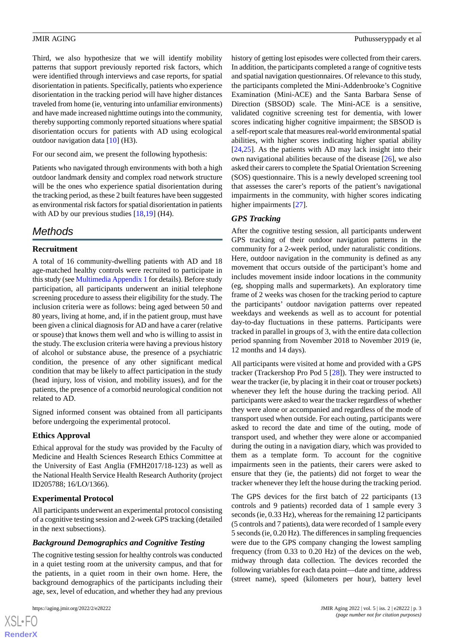Third, we also hypothesize that we will identify mobility patterns that support previously reported risk factors, which were identified through interviews and case reports, for spatial disorientation in patients. Specifically, patients who experience disorientation in the tracking period will have higher distances traveled from home (ie, venturing into unfamiliar environments) and have made increased nighttime outings into the community, thereby supporting commonly reported situations where spatial disorientation occurs for patients with AD using ecological outdoor navigation data [\[10](#page-13-5)] (H3).

For our second aim, we present the following hypothesis:

Patients who navigated through environments with both a high outdoor landmark density and complex road network structure will be the ones who experience spatial disorientation during the tracking period, as these 2 built features have been suggested as environmental risk factors for spatial disorientation in patients with AD by our previous studies [\[18](#page-13-13),[19\]](#page-13-14) (H4).

## *Methods*

### **Recruitment**

A total of 16 community-dwelling patients with AD and 18 age-matched healthy controls were recruited to participate in this study (see [Multimedia Appendix 1](#page-12-2) for details). Before study participation, all participants underwent an initial telephone screening procedure to assess their eligibility for the study. The inclusion criteria were as follows: being aged between 50 and 80 years, living at home, and, if in the patient group, must have been given a clinical diagnosis for AD and have a carer (relative or spouse) that knows them well and who is willing to assist in the study. The exclusion criteria were having a previous history of alcohol or substance abuse, the presence of a psychiatric condition, the presence of any other significant medical condition that may be likely to affect participation in the study (head injury, loss of vision, and mobility issues), and for the patients, the presence of a comorbid neurological condition not related to AD.

Signed informed consent was obtained from all participants before undergoing the experimental protocol.

### **Ethics Approval**

Ethical approval for the study was provided by the Faculty of Medicine and Health Sciences Research Ethics Committee at the University of East Anglia (FMH2017/18-123) as well as the National Health Service Health Research Authority (project ID205788; 16/LO/1366).

### **Experimental Protocol**

All participants underwent an experimental protocol consisting of a cognitive testing session and 2-week GPS tracking (detailed in the next subsections).

### *Background Demographics and Cognitive Testing*

The cognitive testing session for healthy controls was conducted in a quiet testing room at the university campus, and that for the patients, in a quiet room in their own home. Here, the background demographics of the participants including their age, sex, level of education, and whether they had any previous

 $XS$ -FO **[RenderX](http://www.renderx.com/)**

history of getting lost episodes were collected from their carers. In addition, the participants completed a range of cognitive tests and spatial navigation questionnaires. Of relevance to this study, the participants completed the Mini-Addenbrooke's Cognitive Examination (Mini-ACE) and the Santa Barbara Sense of Direction (SBSOD) scale. The Mini-ACE is a sensitive, validated cognitive screening test for dementia, with lower scores indicating higher cognitive impairment; the SBSOD is a self-report scale that measures real-world environmental spatial abilities, with higher scores indicating higher spatial ability [[24,](#page-13-18)[25\]](#page-13-19). As the patients with AD may lack insight into their own navigational abilities because of the disease [[26\]](#page-13-20), we also asked their carers to complete the Spatial Orientation Screening (SOS) questionnaire. This is a newly developed screening tool that assesses the carer's reports of the patient's navigational impairments in the community, with higher scores indicating higher impairments [[27\]](#page-14-0).

### *GPS Tracking*

After the cognitive testing session, all participants underwent GPS tracking of their outdoor navigation patterns in the community for a 2-week period, under naturalistic conditions. Here, outdoor navigation in the community is defined as any movement that occurs outside of the participant's home and includes movement inside indoor locations in the community (eg, shopping malls and supermarkets). An exploratory time frame of 2 weeks was chosen for the tracking period to capture the participants' outdoor navigation patterns over repeated weekdays and weekends as well as to account for potential day-to-day fluctuations in these patterns. Participants were tracked in parallel in groups of 3, with the entire data collection period spanning from November 2018 to November 2019 (ie, 12 months and 14 days).

All participants were visited at home and provided with a GPS tracker (Trackershop Pro Pod 5 [[28\]](#page-14-1)). They were instructed to wear the tracker (ie, by placing it in their coat or trouser pockets) whenever they left the house during the tracking period. All participants were asked to wear the tracker regardless of whether they were alone or accompanied and regardless of the mode of transport used when outside. For each outing, participants were asked to record the date and time of the outing, mode of transport used, and whether they were alone or accompanied during the outing in a navigation diary, which was provided to them as a template form. To account for the cognitive impairments seen in the patients, their carers were asked to ensure that they (ie, the patients) did not forget to wear the tracker whenever they left the house during the tracking period.

The GPS devices for the first batch of 22 participants (13 controls and 9 patients) recorded data of 1 sample every 3 seconds (ie, 0.33 Hz), whereas for the remaining 12 participants (5 controls and 7 patients), data were recorded of 1 sample every 5 seconds (ie, 0.20 Hz). The differences in sampling frequencies were due to the GPS company changing the lowest sampling frequency (from 0.33 to 0.20 Hz) of the devices on the web, midway through data collection. The devices recorded the following variables for each data point—date and time, address (street name), speed (kilometers per hour), battery level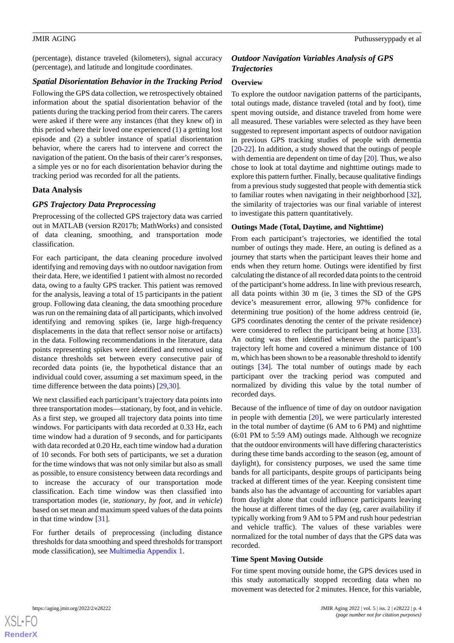(percentage), distance traveled (kilometers), signal accuracy (percentage), and latitude and longitude coordinates.

### *Spatial Disorientation Behavior in the Tracking Period*

Following the GPS data collection, we retrospectively obtained information about the spatial disorientation behavior of the patients during the tracking period from their carers. The carers were asked if there were any instances (that they knew of) in this period where their loved one experienced (1) a getting lost episode and (2) a subtler instance of spatial disorientation behavior, where the carers had to intervene and correct the navigation of the patient. On the basis of their carer's responses, a simple yes or no for each disorientation behavior during the tracking period was recorded for all the patients.

### **Data Analysis**

### *GPS Trajectory Data Preprocessing*

Preprocessing of the collected GPS trajectory data was carried out in MATLAB (version R2017b; MathWorks) and consisted of data cleaning, smoothing, and transportation mode classification.

For each participant, the data cleaning procedure involved identifying and removing days with no outdoor navigation from their data. Here, we identified 1 patient with almost no recorded data, owing to a faulty GPS tracker. This patient was removed for the analysis, leaving a total of 15 participants in the patient group. Following data cleaning, the data smoothing procedure was run on the remaining data of all participants, which involved identifying and removing spikes (ie, large high-frequency displacements in the data that reflect sensor noise or artifacts) in the data. Following recommendations in the literature, data points representing spikes were identified and removed using distance thresholds set between every consecutive pair of recorded data points (ie, the hypothetical distance that an individual could cover, assuming a set maximum speed, in the time difference between the data points) [[29](#page-14-2)[,30](#page-14-3)].

We next classified each participant's trajectory data points into three transportation modes—stationary, by foot, and in vehicle. As a first step, we grouped all trajectory data points into time windows. For participants with data recorded at 0.33 Hz, each time window had a duration of 9 seconds, and for participants with data recorded at 0.20 Hz, each time window had a duration of 10 seconds. For both sets of participants, we set a duration for the time windows that was not only similar but also as small as possible, to ensure consistency between data recordings and to increase the accuracy of our transportation mode classification. Each time window was then classified into transportation modes (ie, *stationary*, *by foot*, and *in vehicle*) based on set mean and maximum speed values of the data points in that time window [\[31](#page-14-4)].

For further details of preprocessing (including distance thresholds for data smoothing and speed thresholds for transport mode classification), see [Multimedia Appendix 1.](#page-12-2)

### *Outdoor Navigation Variables Analysis of GPS Trajectories*

### **Overview**

To explore the outdoor navigation patterns of the participants, total outings made, distance traveled (total and by foot), time spent moving outside, and distance traveled from home were all measured. These variables were selected as they have been suggested to represent important aspects of outdoor navigation in previous GPS tracking studies of people with dementia [[20](#page-13-15)[-22](#page-13-17)]. In addition, a study showed that the outings of people with dementia are dependent on time of day [[20\]](#page-13-15). Thus, we also chose to look at total daytime and nighttime outings made to explore this pattern further. Finally, because qualitative findings from a previous study suggested that people with dementia stick to familiar routes when navigating in their neighborhood [[32\]](#page-14-5), the similarity of trajectories was our final variable of interest to investigate this pattern quantitatively.

### **Outings Made (Total, Daytime, and Nighttime)**

From each participant's trajectories, we identified the total number of outings they made. Here, an outing is defined as a journey that starts when the participant leaves their home and ends when they return home. Outings were identified by first calculating the distance of all recorded data points to the centroid of the participant's home address. In line with previous research, all data points within 30 m (ie, 3 times the SD of the GPS device's measurement error, allowing 97% confidence for determining true position) of the home address centroid (ie, GPS coordinates denoting the center of the private residence) were considered to reflect the participant being at home [[33\]](#page-14-6). An outing was then identified whenever the participant's trajectory left home and covered a minimum distance of 100 m, which has been shown to be a reasonable threshold to identify outings [[34\]](#page-14-7). The total number of outings made by each participant over the tracking period was computed and normalized by dividing this value by the total number of recorded days.

Because of the influence of time of day on outdoor navigation in people with dementia [\[20](#page-13-15)], we were particularly interested in the total number of daytime (6 AM to 6 PM) and nighttime (6:01 PM to 5:59 AM) outings made. Although we recognize that the outdoor environments will have differing characteristics during these time bands according to the season (eg, amount of daylight), for consistency purposes, we used the same time bands for all participants, despite groups of participants being tracked at different times of the year. Keeping consistent time bands also has the advantage of accounting for variables apart from daylight alone that could influence participants leaving the house at different times of the day (eg, carer availability if typically working from 9 AM to 5 PM and rush hour pedestrian and vehicle traffic). The values of these variables were normalized for the total number of days that the GPS data was recorded.

### **Time Spent Moving Outside**

For time spent moving outside home, the GPS devices used in this study automatically stopped recording data when no movement was detected for 2 minutes. Hence, for this variable,

```
XSL•FO
RenderX
```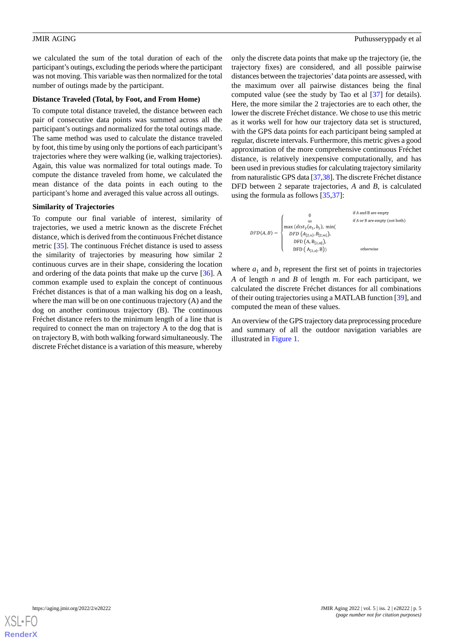we calculated the sum of the total duration of each of the participant's outings, excluding the periods where the participant was not moving. This variable was then normalized for the total number of outings made by the participant.

### **Distance Traveled (Total, by Foot, and From Home)**

To compute total distance traveled, the distance between each pair of consecutive data points was summed across all the participant's outings and normalized for the total outings made. The same method was used to calculate the distance traveled by foot, this time by using only the portions of each participant's trajectories where they were walking (ie, walking trajectories). Again, this value was normalized for total outings made. To compute the distance traveled from home, we calculated the mean distance of the data points in each outing to the participant's home and averaged this value across all outings.

### **Similarity of Trajectories**

To compute our final variable of interest, similarity of trajectories, we used a metric known as the discrete Fréchet distance, which is derived from the continuous Fréchet distance metric [\[35](#page-14-8)]. The continuous Fréchet distance is used to assess the similarity of trajectories by measuring how similar 2 continuous curves are in their shape, considering the location and ordering of the data points that make up the curve [[36\]](#page-14-9). A common example used to explain the concept of continuous Fréchet distances is that of a man walking his dog on a leash, where the man will be on one continuous trajectory (A) and the dog on another continuous trajectory (B). The continuous Fréchet distance refers to the minimum length of a line that is required to connect the man on trajectory A to the dog that is on trajectory B, with both walking forward simultaneously. The discrete Fréchet distance is a variation of this measure, whereby

only the discrete data points that make up the trajectory (ie, the trajectory fixes) are considered, and all possible pairwise distances between the trajectories'data points are assessed, with the maximum over all pairwise distances being the final computed value (see the study by Tao et al [[37\]](#page-14-10) for details). Here, the more similar the 2 trajectories are to each other, the lower the discrete Fréchet distance. We chose to use this metric as it works well for how our trajectory data set is structured, with the GPS data points for each participant being sampled at regular, discrete intervals. Furthermore, this metric gives a good approximation of the more comprehensive continuous Fréchet distance, is relatively inexpensive computationally, and has been used in previous studies for calculating trajectory similarity from naturalistic GPS data [[37,](#page-14-10)[38\]](#page-14-11). The discrete Fréchet distance DFD between 2 separate trajectories, *A* and *B*, is calculated using the formula as follows [\[35](#page-14-8),[37\]](#page-14-10):



where  $a_1$  and  $b_1$  represent the first set of points in trajectories *A* of length *n* and *B* of length *m*. For each participant, we calculated the discrete Fréchet distances for all combinations of their outing trajectories using a MATLAB function [\[39](#page-14-12)], and computed the mean of these values.

An overview of the GPS trajectory data preprocessing procedure and summary of all the outdoor navigation variables are illustrated in [Figure 1](#page-5-0).

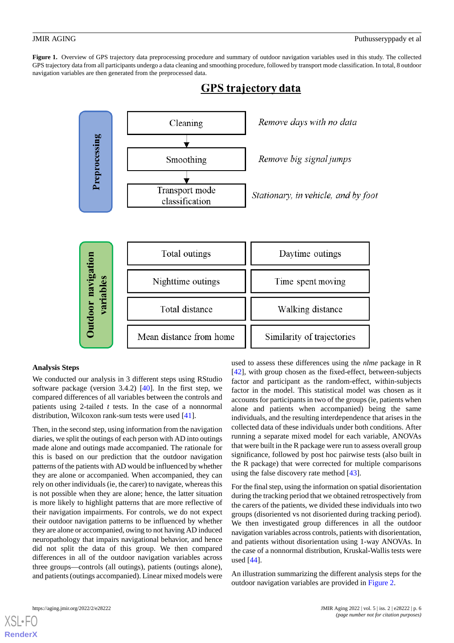<span id="page-5-0"></span>**Figure 1.** Overview of GPS trajectory data preprocessing procedure and summary of outdoor navigation variables used in this study. The collected GPS trajectory data from all participants undergo a data cleaning and smoothing procedure, followed by transport mode classification. In total, 8 outdoor navigation variables are then generated from the preprocessed data.



## **GPS** trajectory data

### **Analysis Steps**

We conducted our analysis in 3 different steps using RStudio software package (version 3.4.2) [[40\]](#page-14-13). In the first step, we compared differences of all variables between the controls and patients using 2-tailed *t* tests. In the case of a nonnormal distribution, Wilcoxon rank-sum tests were used [[41\]](#page-14-14).

Then, in the second step, using information from the navigation diaries, we split the outings of each person with AD into outings made alone and outings made accompanied. The rationale for this is based on our prediction that the outdoor navigation patterns of the patients with AD would be influenced by whether they are alone or accompanied. When accompanied, they can rely on other individuals (ie, the carer) to navigate, whereas this is not possible when they are alone; hence, the latter situation is more likely to highlight patterns that are more reflective of their navigation impairments. For controls, we do not expect their outdoor navigation patterns to be influenced by whether they are alone or accompanied, owing to not having AD induced neuropathology that impairs navigational behavior, and hence did not split the data of this group. We then compared differences in all of the outdoor navigation variables across three groups—controls (all outings), patients (outings alone), and patients (outings accompanied). Linear mixed models were

used to assess these differences using the *nlme* package in R [[42\]](#page-14-15), with group chosen as the fixed-effect, between-subjects factor and participant as the random-effect, within-subjects factor in the model. This statistical model was chosen as it accounts for participants in two of the groups (ie, patients when alone and patients when accompanied) being the same individuals, and the resulting interdependence that arises in the collected data of these individuals under both conditions. After running a separate mixed model for each variable, ANOVAs that were built in the R package were run to assess overall group significance, followed by post hoc pairwise tests (also built in the R package) that were corrected for multiple comparisons using the false discovery rate method [\[43](#page-14-16)].

For the final step, using the information on spatial disorientation during the tracking period that we obtained retrospectively from the carers of the patients, we divided these individuals into two groups (disoriented vs not disoriented during tracking period). We then investigated group differences in all the outdoor navigation variables across controls, patients with disorientation, and patients without disorientation using 1-way ANOVAs. In the case of a nonnormal distribution, Kruskal-Wallis tests were used [[44\]](#page-14-17).

An illustration summarizing the different analysis steps for the outdoor navigation variables are provided in [Figure 2.](#page-6-0)

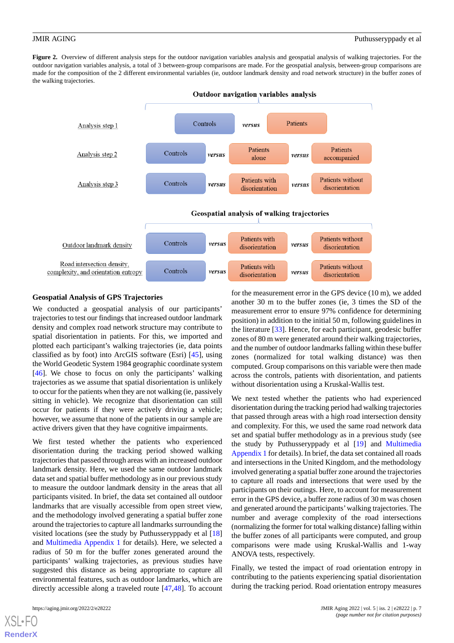<span id="page-6-0"></span>Figure 2. Overview of different analysis steps for the outdoor navigation variables analysis and geospatial analysis of walking trajectories. For the outdoor navigation variables analysis, a total of 3 between-group comparisons are made. For the geospatial analysis, between-group comparisons are made for the composition of the 2 different environmental variables (ie, outdoor landmark density and road network structure) in the buffer zones of the walking trajectories.



**Geospatial Analysis of GPS Trajectories**

We conducted a geospatial analysis of our participants' trajectories to test our findings that increased outdoor landmark density and complex road network structure may contribute to spatial disorientation in patients. For this, we imported and plotted each participant's walking trajectories (ie, data points classified as by foot) into ArcGIS software (Esri) [[45\]](#page-14-18), using the World Geodetic System 1984 geographic coordinate system [[46\]](#page-14-19). We chose to focus on only the participants' walking trajectories as we assume that spatial disorientation is unlikely to occur for the patients when they are not walking (ie, passively sitting in vehicle). We recognize that disorientation can still occur for patients if they were actively driving a vehicle; however, we assume that none of the patients in our sample are active drivers given that they have cognitive impairments.

We first tested whether the patients who experienced disorientation during the tracking period showed walking trajectories that passed through areas with an increased outdoor landmark density. Here, we used the same outdoor landmark data set and spatial buffer methodology as in our previous study to measure the outdoor landmark density in the areas that all participants visited. In brief, the data set contained all outdoor landmarks that are visually accessible from open street view, and the methodology involved generating a spatial buffer zone around the trajectories to capture all landmarks surrounding the visited locations (see the study by Puthusseryppady et al [\[18](#page-13-13)] and [Multimedia Appendix 1](#page-12-2) for details). Here, we selected a radius of 50 m for the buffer zones generated around the participants' walking trajectories, as previous studies have suggested this distance as being appropriate to capture all environmental features, such as outdoor landmarks, which are directly accessible along a traveled route [\[47](#page-14-20),[48\]](#page-14-21). To account

for the measurement error in the GPS device (10 m), we added another 30 m to the buffer zones (ie, 3 times the SD of the measurement error to ensure 97% confidence for determining position) in addition to the initial 50 m, following guidelines in the literature [\[33](#page-14-6)]. Hence, for each participant, geodesic buffer zones of 80 m were generated around their walking trajectories, and the number of outdoor landmarks falling within these buffer zones (normalized for total walking distance) was then computed. Group comparisons on this variable were then made across the controls, patients with disorientation, and patients without disorientation using a Kruskal-Wallis test.

We next tested whether the patients who had experienced disorientation during the tracking period had walking trajectories that passed through areas with a high road intersection density and complexity. For this, we used the same road network data set and spatial buffer methodology as in a previous study (see the study by Puthusseryppady et al [\[19](#page-13-14)] and [Multimedia](#page-12-2) [Appendix 1](#page-12-2) for details). In brief, the data set contained all roads and intersections in the United Kingdom, and the methodology involved generating a spatial buffer zone around the trajectories to capture all roads and intersections that were used by the participants on their outings. Here, to account for measurement error in the GPS device, a buffer zone radius of 30 m was chosen and generated around the participants'walking trajectories. The number and average complexity of the road intersections (normalizing the former for total walking distance) falling within the buffer zones of all participants were computed, and group comparisons were made using Kruskal-Wallis and 1-way ANOVA tests, respectively.

Finally, we tested the impact of road orientation entropy in contributing to the patients experiencing spatial disorientation during the tracking period. Road orientation entropy measures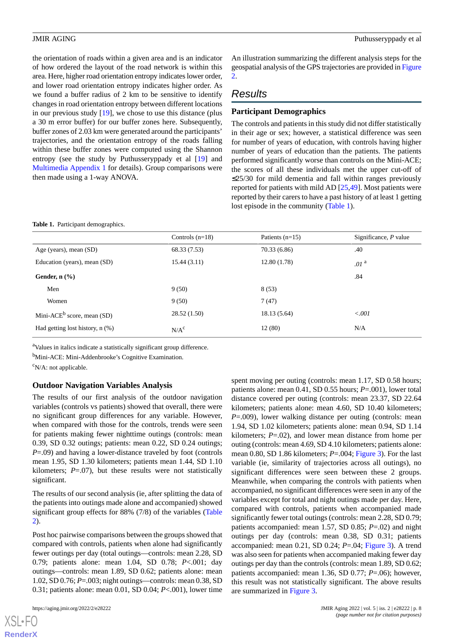the orientation of roads within a given area and is an indicator of how ordered the layout of the road network is within this area. Here, higher road orientation entropy indicates lower order, and lower road orientation entropy indicates higher order. As we found a buffer radius of 2 km to be sensitive to identify changes in road orientation entropy between different locations in our previous study [[19\]](#page-13-14), we chose to use this distance (plus a 30 m error buffer) for our buffer zones here. Subsequently, buffer zones of 2.03 km were generated around the participants' trajectories, and the orientation entropy of the roads falling within these buffer zones were computed using the Shannon entropy (see the study by Puthusseryppady et al [[19\]](#page-13-14) and [Multimedia Appendix 1](#page-12-2) for details). Group comparisons were then made using a 1-way ANOVA.

### <span id="page-7-0"></span>**Table 1.** Participant demographics.

An illustration summarizing the different analysis steps for the geospatial analysis of the GPS trajectories are provided in [Figure](#page-6-0) [2.](#page-6-0)

### *Results*

### **Participant Demographics**

The controls and patients in this study did not differ statistically in their age or sex; however, a statistical difference was seen for number of years of education, with controls having higher number of years of education than the patients. The patients performed significantly worse than controls on the Mini-ACE; the scores of all these individuals met the upper cut-off of ≤25/30 for mild dementia and fall within ranges previously reported for patients with mild AD [[25](#page-13-19)[,49](#page-14-22)]. Most patients were reported by their carers to have a past history of at least 1 getting lost episode in the community [\(Table 1\)](#page-7-0).

|                                        | Controls $(n=18)$ | Patients $(n=15)$ | Significance, $P$ value |
|----------------------------------------|-------------------|-------------------|-------------------------|
| Age (years), mean (SD)                 | 68.33 (7.53)      | 70.33 (6.86)      | .40                     |
| Education (years), mean (SD)           | 15.44(3.11)       | 12.80(1.78)       | .01 <sup>a</sup>        |
| Gender, $n$ $(\%)$                     |                   |                   | .84                     |
| Men                                    | 9(50)             | 8(53)             |                         |
| Women                                  | 9(50)             | 7(47)             |                         |
| Mini-ACE <sup>b</sup> score, mean (SD) | 28.52(1.50)       | 18.13 (5.64)      | < 0.001                 |
| Had getting lost history, $n$ $(\%)$   | N/A <sup>c</sup>  | 12(80)            | N/A                     |

<sup>a</sup>Values in italics indicate a statistically significant group difference.

b<sub>Mini-ACE</sub>: Mini-Addenbrooke's Cognitive Examination.

 $\rm^c$ N/A: not applicable.

### **Outdoor Navigation Variables Analysis**

The results of our first analysis of the outdoor navigation variables (controls vs patients) showed that overall, there were no significant group differences for any variable. However, when compared with those for the controls, trends were seen for patients making fewer nighttime outings (controls: mean 0.39, SD 0.32 outings; patients: mean 0.22, SD 0.24 outings; *P*=.09) and having a lower-distance traveled by foot (controls mean 1.95, SD 1.30 kilometers; patients mean 1.44, SD 1.10 kilometers;  $P = .07$ ), but these results were not statistically significant.

The results of our second analysis (ie, after splitting the data of the patients into outings made alone and accompanied) showed significant group effects for 88% (7/8) of the variables ([Table](#page-8-0) [2\)](#page-8-0).

Post hoc pairwise comparisons between the groups showed that compared with controls, patients when alone had significantly fewer outings per day (total outings—controls: mean 2.28, SD 0.79; patients alone: mean 1.04, SD 0.78; *P*<.001; day outings—controls: mean 1.89, SD 0.62; patients alone: mean 1.02, SD 0.76; *P*=.003; night outings—controls: mean 0.38, SD 0.31; patients alone: mean 0.01, SD 0.04; *P*<.001), lower time

[XSL](http://www.w3.org/Style/XSL)•FO **[RenderX](http://www.renderx.com/)**

spent moving per outing (controls: mean 1.17, SD 0.58 hours; patients alone: mean 0.41, SD 0.55 hours; *P*=.001), lower total distance covered per outing (controls: mean 23.37, SD 22.64 kilometers; patients alone: mean 4.60, SD 10.40 kilometers; *P*=.009), lower walking distance per outing (controls: mean 1.94, SD 1.02 kilometers; patients alone: mean 0.94, SD 1.14 kilometers; *P*=.02), and lower mean distance from home per outing (controls: mean 4.69, SD 4.10 kilometers; patients alone: mean 0.80, SD 1.86 kilometers; *P*=.004; [Figure 3](#page-9-0)). For the last variable (ie, similarity of trajectories across all outings), no significant differences were seen between these 2 groups. Meanwhile, when comparing the controls with patients when accompanied, no significant differences were seen in any of the variables except for total and night outings made per day. Here, compared with controls, patients when accompanied made significantly fewer total outings (controls: mean 2.28, SD 0.79; patients accompanied: mean 1.57, SD 0.85; *P*=.02) and night outings per day (controls: mean 0.38, SD 0.31; patients accompanied: mean 0.21, SD 0.24; *P*=.04; [Figure 3](#page-9-0)). A trend was also seen for patients when accompanied making fewer day outings per day than the controls (controls: mean 1.89, SD 0.62; patients accompanied: mean 1.36, SD 0.77; *P*=.06); however, this result was not statistically significant. The above results are summarized in [Figure 3.](#page-9-0)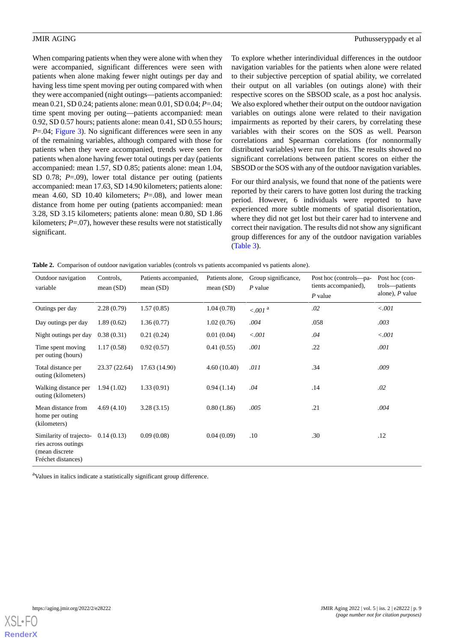When comparing patients when they were alone with when they were accompanied, significant differences were seen with patients when alone making fewer night outings per day and having less time spent moving per outing compared with when they were accompanied (night outings—patients accompanied: mean 0.21, SD 0.24; patients alone: mean 0.01, SD 0.04; *P*=.04; time spent moving per outing—patients accompanied: mean 0.92, SD 0.57 hours; patients alone: mean 0.41, SD 0.55 hours; *P*=.04; [Figure 3\)](#page-9-0). No significant differences were seen in any of the remaining variables, although compared with those for patients when they were accompanied, trends were seen for patients when alone having fewer total outings per day (patients accompanied: mean 1.57, SD 0.85; patients alone: mean 1.04, SD 0.78; *P*=.09), lower total distance per outing (patients accompanied: mean 17.63, SD 14.90 kilometers; patients alone: mean 4.60, SD 10.40 kilometers; *P*=.08), and lower mean distance from home per outing (patients accompanied: mean 3.28, SD 3.15 kilometers; patients alone: mean 0.80, SD 1.86 kilometers; *P*=.07), however these results were not statistically significant.

To explore whether interindividual differences in the outdoor navigation variables for the patients when alone were related to their subjective perception of spatial ability, we correlated their output on all variables (on outings alone) with their respective scores on the SBSOD scale, as a post hoc analysis. We also explored whether their output on the outdoor navigation variables on outings alone were related to their navigation impairments as reported by their carers, by correlating these variables with their scores on the SOS as well. Pearson correlations and Spearman correlations (for nonnormally distributed variables) were run for this. The results showed no significant correlations between patient scores on either the SBSOD or the SOS with any of the outdoor navigation variables.

For our third analysis, we found that none of the patients were reported by their carers to have gotten lost during the tracking period. However, 6 individuals were reported to have experienced more subtle moments of spatial disorientation, where they did not get lost but their carer had to intervene and correct their navigation. The results did not show any significant group differences for any of the outdoor navigation variables ([Table 3](#page-10-0)).

<span id="page-8-0"></span>

|  |  | Table 2. Comparison of outdoor navigation variables (controls vs patients accompanied vs patients alone). |  |  |  |  |  |  |
|--|--|-----------------------------------------------------------------------------------------------------------|--|--|--|--|--|--|
|--|--|-----------------------------------------------------------------------------------------------------------|--|--|--|--|--|--|

| Outdoor navigation<br>variable                                                         | Controls,<br>mean $(SD)$ | Patients accompanied,<br>mean $(SD)$ | Patients alone,<br>mean $(SD)$ | Group significance,<br>$P$ value | Post hoc (controls---pa-<br>tients accompanied),<br>$P$ value | Post hoc (con-<br>trols-patients<br>alone), $P$ value |
|----------------------------------------------------------------------------------------|--------------------------|--------------------------------------|--------------------------------|----------------------------------|---------------------------------------------------------------|-------------------------------------------------------|
| Outings per day                                                                        | 2.28(0.79)               | 1.57(0.85)                           | 1.04(0.78)                     | $< .001$ <sup>a</sup>            | .02                                                           | < .001                                                |
| Day outings per day                                                                    | 1.89(0.62)               | 1.36(0.77)                           | 1.02(0.76)                     | .004                             | .058                                                          | .003                                                  |
| Night outings per day                                                                  | 0.38(0.31)               | 0.21(0.24)                           | 0.01(0.04)                     | < .001                           | .04                                                           | < .001                                                |
| Time spent moving<br>per outing (hours)                                                | 1.17(0.58)               | 0.92(0.57)                           | 0.41(0.55)                     | .001                             | .22                                                           | .001                                                  |
| Total distance per<br>outing (kilometers)                                              | 23.37 (22.64)            | 17.63 (14.90)                        | 4.60(10.40)                    | .011                             | .34                                                           | .009                                                  |
| Walking distance per<br>outing (kilometers)                                            | 1.94(1.02)               | 1.33(0.91)                           | 0.94(1.14)                     | .04                              | .14                                                           | .02                                                   |
| Mean distance from<br>home per outing<br>(kilometers)                                  | 4.69(4.10)               | 3.28(3.15)                           | 0.80(1.86)                     | .005                             | .21                                                           | .004                                                  |
| Similarity of trajecto-<br>ries across outings<br>(mean discrete<br>Fréchet distances) | 0.14(0.13)               | 0.09(0.08)                           | 0.04(0.09)                     | .10                              | .30                                                           | .12                                                   |

<sup>a</sup>Values in italics indicate a statistically significant group difference.

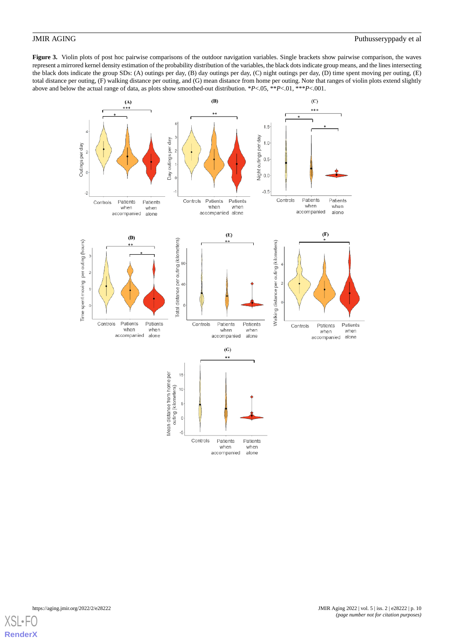<span id="page-9-0"></span>**Figure 3.** Violin plots of post hoc pairwise comparisons of the outdoor navigation variables. Single brackets show pairwise comparison, the waves represent a mirrored kernel density estimation of the probability distribution of the variables, the black dots indicate group means, and the lines intersecting the black dots indicate the group SDs: (A) outings per day, (B) day outings per day, (C) night outings per day, (D) time spent moving per outing, (E) total distance per outing, (F) walking distance per outing, and (G) mean distance from home per outing. Note that ranges of violin plots extend slightly above and below the actual range of data, as plots show smoothed-out distribution. \**P*<.05, \*\**P*<.01, \*\*\**P*<.001.



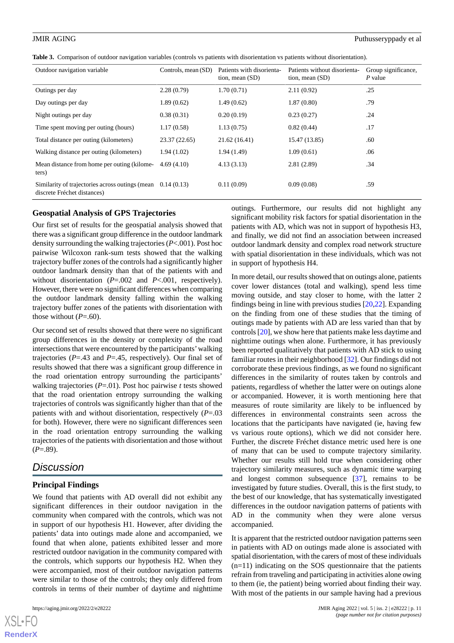<span id="page-10-0"></span>

|  |  | Table 3. Comparison of outdoor navigation variables (controls vs patients with disorientation vs patients without disorientation). |  |  |  |  |  |
|--|--|------------------------------------------------------------------------------------------------------------------------------------|--|--|--|--|--|
|--|--|------------------------------------------------------------------------------------------------------------------------------------|--|--|--|--|--|

| Outdoor navigation variable                                                    | Controls, mean (SD) | Patients with disorienta-<br>tion, mean $(SD)$ | Patients without disorienta-<br>tion, mean $(SD)$ | Group significance,<br>P value |
|--------------------------------------------------------------------------------|---------------------|------------------------------------------------|---------------------------------------------------|--------------------------------|
| Outings per day                                                                | 2.28(0.79)          | 1.70(0.71)                                     | 2.11(0.92)                                        | .25                            |
| Day outings per day                                                            | 1.89(0.62)          | 1.49(0.62)                                     | 1.87(0.80)                                        | .79                            |
| Night outings per day                                                          | 0.38(0.31)          | 0.20(0.19)                                     | 0.23(0.27)                                        | .24                            |
| Time spent moving per outing (hours)                                           | 1.17(0.58)          | 1.13(0.75)                                     | 0.82(0.44)                                        | .17                            |
| Total distance per outing (kilometers)                                         | 23.37 (22.65)       | 21.62(16.41)                                   | 15.47 (13.85)                                     | .60                            |
| Walking distance per outing (kilometers)                                       | 1.94(1.02)          | 1.94(1.49)                                     | 1.09(0.61)                                        | .06                            |
| Mean distance from home per outing (kilome-<br>ters)                           | 4.69(4.10)          | 4.13(3.13)                                     | 2.81(2.89)                                        | .34                            |
| Similarity of trajectories across outings (mean<br>discrete Fréchet distances) | 0.14(0.13)          | 0.11(0.09)                                     | 0.09(0.08)                                        | .59                            |

### **Geospatial Analysis of GPS Trajectories**

Our first set of results for the geospatial analysis showed that there was a significant group difference in the outdoor landmark density surrounding the walking trajectories (*P*<.001). Post hoc pairwise Wilcoxon rank-sum tests showed that the walking trajectory buffer zones of the controls had a significantly higher outdoor landmark density than that of the patients with and without disorientation ( $P = .002$  and  $P < .001$ , respectively). However, there were no significant differences when comparing the outdoor landmark density falling within the walking trajectory buffer zones of the patients with disorientation with those without  $(P=.60)$ .

Our second set of results showed that there were no significant group differences in the density or complexity of the road intersections that were encountered by the participants'walking trajectories (*P*=.43 and *P*=.45, respectively). Our final set of results showed that there was a significant group difference in the road orientation entropy surrounding the participants' walking trajectories (*P*=.01). Post hoc pairwise *t* tests showed that the road orientation entropy surrounding the walking trajectories of controls was significantly higher than that of the patients with and without disorientation, respectively (*P*=.03 for both). However, there were no significant differences seen in the road orientation entropy surrounding the walking trajectories of the patients with disorientation and those without  $(P=.89)$ .

## *Discussion*

### **Principal Findings**

We found that patients with AD overall did not exhibit any significant differences in their outdoor navigation in the community when compared with the controls, which was not in support of our hypothesis H1. However, after dividing the patients' data into outings made alone and accompanied, we found that when alone, patients exhibited lesser and more restricted outdoor navigation in the community compared with the controls, which supports our hypothesis H2. When they were accompanied, most of their outdoor navigation patterns were similar to those of the controls; they only differed from controls in terms of their number of daytime and nighttime

 $XS$ -FO **[RenderX](http://www.renderx.com/)** outings. Furthermore, our results did not highlight any significant mobility risk factors for spatial disorientation in the patients with AD, which was not in support of hypothesis H3, and finally, we did not find an association between increased outdoor landmark density and complex road network structure with spatial disorientation in these individuals, which was not in support of hypothesis H4.

In more detail, our results showed that on outings alone, patients cover lower distances (total and walking), spend less time moving outside, and stay closer to home, with the latter 2 findings being in line with previous studies [[20,](#page-13-15)[22\]](#page-13-17). Expanding on the finding from one of these studies that the timing of outings made by patients with AD are less varied than that by controls [\[20](#page-13-15)], we show here that patients make less daytime and nighttime outings when alone. Furthermore, it has previously been reported qualitatively that patients with AD stick to using familiar routes in their neighborhood [[32\]](#page-14-5). Our findings did not corroborate these previous findings, as we found no significant differences in the similarity of routes taken by controls and patients, regardless of whether the latter were on outings alone or accompanied. However, it is worth mentioning here that measures of route similarity are likely to be influenced by differences in environmental constraints seen across the locations that the participants have navigated (ie, having few vs various route options), which we did not consider here. Further, the discrete Fréchet distance metric used here is one of many that can be used to compute trajectory similarity. Whether our results still hold true when considering other trajectory similarity measures, such as dynamic time warping and longest common subsequence [[37\]](#page-14-10), remains to be investigated by future studies. Overall, this is the first study, to the best of our knowledge, that has systematically investigated differences in the outdoor navigation patterns of patients with AD in the community when they were alone versus accompanied.

It is apparent that the restricted outdoor navigation patterns seen in patients with AD on outings made alone is associated with spatial disorientation, with the carers of most of these individuals  $(n=11)$  indicating on the SOS questionnaire that the patients refrain from traveling and participating in activities alone owing to them (ie, the patient) being worried about finding their way. With most of the patients in our sample having had a previous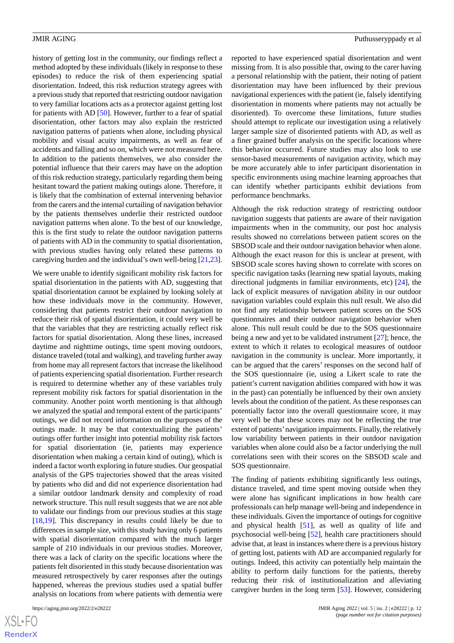history of getting lost in the community, our findings reflect a method adopted by these individuals (likely in response to these episodes) to reduce the risk of them experiencing spatial disorientation. Indeed, this risk reduction strategy agrees with a previous study that reported that restricting outdoor navigation to very familiar locations acts as a protector against getting lost for patients with AD [[50\]](#page-14-23). However, further to a fear of spatial disorientation, other factors may also explain the restricted navigation patterns of patients when alone, including physical mobility and visual acuity impairments, as well as fear of accidents and falling and so on, which were not measured here. In addition to the patients themselves, we also consider the potential influence that their carers may have on the adoption of this risk reduction strategy, particularly regarding them being hesitant toward the patient making outings alone. Therefore, it is likely that the combination of external intervening behavior from the carers and the internal curtailing of navigation behavior by the patients themselves underlie their restricted outdoor navigation patterns when alone. To the best of our knowledge, this is the first study to relate the outdoor navigation patterns of patients with AD in the community to spatial disorientation, with previous studies having only related these patterns to caregiving burden and the individual's own well-being [\[21](#page-13-21),[23\]](#page-13-16).

We were unable to identify significant mobility risk factors for spatial disorientation in the patients with AD, suggesting that spatial disorientation cannot be explained by looking solely at how these individuals move in the community. However, considering that patients restrict their outdoor navigation to reduce their risk of spatial disorientation, it could very well be that the variables that they are restricting actually reflect risk factors for spatial disorientation. Along these lines, increased daytime and nighttime outings, time spent moving outdoors, distance traveled (total and walking), and traveling further away from home may all represent factors that increase the likelihood of patients experiencing spatial disorientation. Further research is required to determine whether any of these variables truly represent mobility risk factors for spatial disorientation in the community. Another point worth mentioning is that although we analyzed the spatial and temporal extent of the participants' outings, we did not record information on the purposes of the outings made. It may be that contextualizing the patients' outings offer further insight into potential mobility risk factors for spatial disorientation (ie, patients may experience disorientation when making a certain kind of outing), which is indeed a factor worth exploring in future studies. Our geospatial analysis of the GPS trajectories showed that the areas visited by patients who did and did not experience disorientation had a similar outdoor landmark density and complexity of road network structure. This null result suggests that we are not able to validate our findings from our previous studies at this stage [[18](#page-13-13)[,19](#page-13-14)]. This discrepancy in results could likely be due to differences in sample size, with this study having only 6 patients with spatial disorientation compared with the much larger sample of 210 individuals in our previous studies. Moreover, there was a lack of clarity on the specific locations where the patients felt disoriented in this study because disorientation was measured retrospectively by carer responses after the outings happened, whereas the previous studies used a spatial buffer analysis on locations from where patients with dementia were

[XSL](http://www.w3.org/Style/XSL)•FO **[RenderX](http://www.renderx.com/)** reported to have experienced spatial disorientation and went missing from. It is also possible that, owing to the carer having a personal relationship with the patient, their noting of patient disorientation may have been influenced by their previous navigational experiences with the patient (ie, falsely identifying disorientation in moments where patients may not actually be disoriented). To overcome these limitations, future studies should attempt to replicate our investigation using a relatively larger sample size of disoriented patients with AD, as well as a finer grained buffer analysis on the specific locations where this behavior occurred. Future studies may also look to use sensor-based measurements of navigation activity, which may be more accurately able to infer participant disorientation in specific environments using machine learning approaches that can identify whether participants exhibit deviations from performance benchmarks.

Although the risk reduction strategy of restricting outdoor navigation suggests that patients are aware of their navigation impairments when in the community, our post hoc analysis results showed no correlations between patient scores on the SBSOD scale and their outdoor navigation behavior when alone. Although the exact reason for this is unclear at present, with SBSOD scale scores having shown to correlate with scores on specific navigation tasks (learning new spatial layouts, making directional judgments in familiar environments, etc) [[24\]](#page-13-18), the lack of explicit measures of navigation ability in our outdoor navigation variables could explain this null result. We also did not find any relationship between patient scores on the SOS questionnaires and their outdoor navigation behavior when alone. This null result could be due to the SOS questionnaire being a new and yet to be validated instrument [[27\]](#page-14-0); hence, the extent to which it relates to ecological measures of outdoor navigation in the community is unclear. More importantly, it can be argued that the carers' responses on the second half of the SOS questionnaire (ie, using a Likert scale to rate the patient's current navigation abilities compared with how it was in the past) can potentially be influenced by their own anxiety levels about the condition of the patient. As these responses can potentially factor into the overall questionnaire score, it may very well be that these scores may not be reflecting the true extent of patients'navigation impairments. Finally, the relatively low variability between patients in their outdoor navigation variables when alone could also be a factor underlying the null correlations seen with their scores on the SBSOD scale and SOS questionnaire.

The finding of patients exhibiting significantly less outings, distance traveled, and time spent moving outside when they were alone has significant implications in how health care professionals can help manage well-being and independence in these individuals. Given the importance of outings for cognitive and physical health [\[51](#page-15-0)], as well as quality of life and psychosocial well-being [\[52](#page-15-1)], health care practitioners should advise that, at least in instances where there is a previous history of getting lost, patients with AD are accompanied regularly for outings. Indeed, this activity can potentially help maintain the ability to perform daily functions for the patients, thereby reducing their risk of institutionalization and alleviating caregiver burden in the long term [[53\]](#page-15-2). However, considering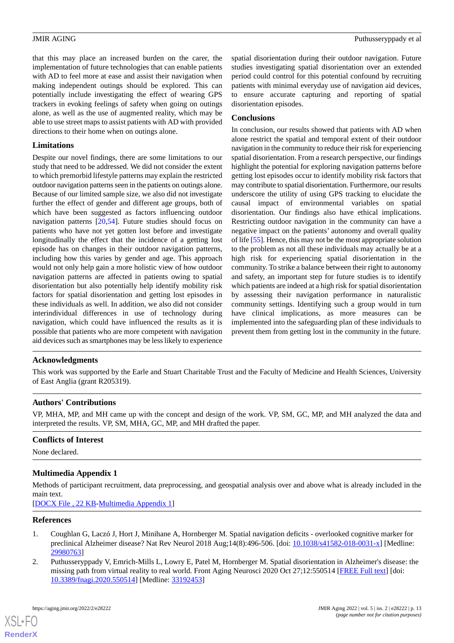that this may place an increased burden on the carer, the implementation of future technologies that can enable patients with AD to feel more at ease and assist their navigation when making independent outings should be explored. This can potentially include investigating the effect of wearing GPS trackers in evoking feelings of safety when going on outings alone, as well as the use of augmented reality, which may be able to use street maps to assist patients with AD with provided directions to their home when on outings alone.

### **Limitations**

Despite our novel findings, there are some limitations to our study that need to be addressed. We did not consider the extent to which premorbid lifestyle patterns may explain the restricted outdoor navigation patterns seen in the patients on outings alone. Because of our limited sample size, we also did not investigate further the effect of gender and different age groups, both of which have been suggested as factors influencing outdoor navigation patterns [\[20](#page-13-15)[,54](#page-15-3)]. Future studies should focus on patients who have not yet gotten lost before and investigate longitudinally the effect that the incidence of a getting lost episode has on changes in their outdoor navigation patterns, including how this varies by gender and age. This approach would not only help gain a more holistic view of how outdoor navigation patterns are affected in patients owing to spatial disorientation but also potentially help identify mobility risk factors for spatial disorientation and getting lost episodes in these individuals as well. In addition, we also did not consider interindividual differences in use of technology during navigation, which could have influenced the results as it is possible that patients who are more competent with navigation aid devices such as smartphones may be less likely to experience

spatial disorientation during their outdoor navigation. Future studies investigating spatial disorientation over an extended period could control for this potential confound by recruiting patients with minimal everyday use of navigation aid devices, to ensure accurate capturing and reporting of spatial disorientation episodes.

### **Conclusions**

In conclusion, our results showed that patients with AD when alone restrict the spatial and temporal extent of their outdoor navigation in the community to reduce their risk for experiencing spatial disorientation. From a research perspective, our findings highlight the potential for exploring navigation patterns before getting lost episodes occur to identify mobility risk factors that may contribute to spatial disorientation. Furthermore, our results underscore the utility of using GPS tracking to elucidate the causal impact of environmental variables on spatial disorientation. Our findings also have ethical implications. Restricting outdoor navigation in the community can have a negative impact on the patients' autonomy and overall quality of life [\[55\]](#page-15-4). Hence, this may not be the most appropriate solution to the problem as not all these individuals may actually be at a high risk for experiencing spatial disorientation in the community. To strike a balance between their right to autonomy and safety, an important step for future studies is to identify which patients are indeed at a high risk for spatial disorientation by assessing their navigation performance in naturalistic community settings. Identifying such a group would in turn have clinical implications, as more measures can be implemented into the safeguarding plan of these individuals to prevent them from getting lost in the community in the future.

### **Acknowledgments**

This work was supported by the Earle and Stuart Charitable Trust and the Faculty of Medicine and Health Sciences, University of East Anglia (grant R205319).

### **Authors' Contributions**

<span id="page-12-2"></span>VP, MHA, MP, and MH came up with the concept and design of the work. VP, SM, GC, MP, and MH analyzed the data and interpreted the results. VP, SM, MHA, GC, MP, and MH drafted the paper.

### **Conflicts of Interest**

None declared.

### **Multimedia Appendix 1**

<span id="page-12-0"></span>Methods of participant recruitment, data preprocessing, and geospatial analysis over and above what is already included in the main text.

<span id="page-12-1"></span>[[DOCX File , 22 KB](https://jmir.org/api/download?alt_name=aging_v5i2e28222_app1.docx&filename=cda90767688d611b64b49f56c55e0d31.docx)-[Multimedia Appendix 1\]](https://jmir.org/api/download?alt_name=aging_v5i2e28222_app1.docx&filename=cda90767688d611b64b49f56c55e0d31.docx)

### **References**

- 1. Coughlan G, Laczó J, Hort J, Minihane A, Hornberger M. Spatial navigation deficits overlooked cognitive marker for preclinical Alzheimer disease? Nat Rev Neurol 2018 Aug;14(8):496-506. [doi: [10.1038/s41582-018-0031-x](http://dx.doi.org/10.1038/s41582-018-0031-x)] [Medline: [29980763](http://www.ncbi.nlm.nih.gov/entrez/query.fcgi?cmd=Retrieve&db=PubMed&list_uids=29980763&dopt=Abstract)]
- 2. Puthusseryppady V, Emrich-Mills L, Lowry E, Patel M, Hornberger M. Spatial disorientation in Alzheimer's disease: the missing path from virtual reality to real world. Front Aging Neurosci 2020 Oct 27;12:550514 [[FREE Full text\]](https://doi.org/10.3389/fnagi.2020.550514) [doi: [10.3389/fnagi.2020.550514](http://dx.doi.org/10.3389/fnagi.2020.550514)] [Medline: [33192453](http://www.ncbi.nlm.nih.gov/entrez/query.fcgi?cmd=Retrieve&db=PubMed&list_uids=33192453&dopt=Abstract)]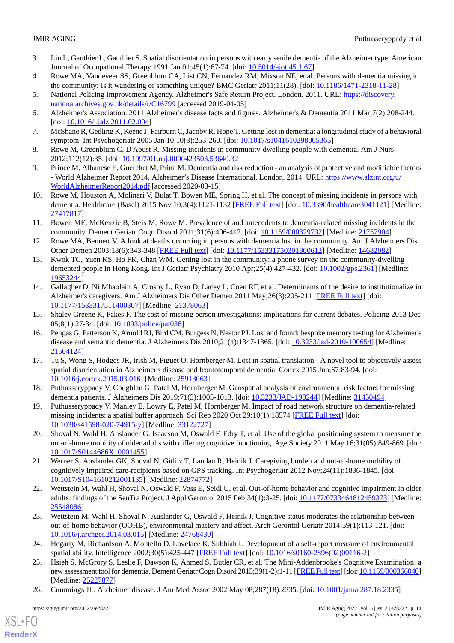- <span id="page-13-0"></span>3. Liu L, Gauthier L, Gauthier S. Spatial disorientation in persons with early senile dementia of the Alzheimer type. American Journal of Occupational Therapy 1991 Jan 01;45(1):67-74. [doi: [10.5014/ajot.45.1.67\]](http://dx.doi.org/10.5014/ajot.45.1.67)
- <span id="page-13-2"></span><span id="page-13-1"></span>4. Rowe MA, Vandeveer SS, Greenblum CA, List CN, Fernandez RM, Mixson NE, et al. Persons with dementia missing in the community: Is it wandering or something unique? BMC Geriatr 2011;11(28). [doi: [10.1186/1471-2318-11-28](http://dx.doi.org/10.1186/1471-2318-11-28)]
- 5. National Policing Improvement Agency. Alzheimer's Safe Return Project. London. 2011. URL: [https://discovery.](https://discovery.nationalarchives.gov.uk/details/r/C16799) [nationalarchives.gov.uk/details/r/C16799](https://discovery.nationalarchives.gov.uk/details/r/C16799) [accessed 2019-04-05]
- <span id="page-13-7"></span>6. Alzheimer's Association. 2011 Alzheimer's disease facts and figures. Alzheimer's & Dementia 2011 Mar;7(2):208-244. [doi: [10.1016/j.jalz.2011.02.004](http://dx.doi.org/10.1016/j.jalz.2011.02.004)]
- <span id="page-13-3"></span>7. McShane R, Gedling K, Keene J, Fairburn C, Jacoby R, Hope T. Getting lost in dementia: a longitudinal study of a behavioral symptom. Int Psychogeriatr 2005 Jan 10;10(3):253-260. [doi: [10.1017/s1041610298005365](http://dx.doi.org/10.1017/s1041610298005365)]
- <span id="page-13-4"></span>8. Rowe M, Greenblum C, D'Aoust R. Missing incidents in community-dwelling people with dementia. Am J Nurs 2012;112(12):35. [doi: [10.1097/01.naj.0000423503.53640.32\]](http://dx.doi.org/10.1097/01.naj.0000423503.53640.32)
- <span id="page-13-5"></span>9. Prince M, Albanese E, Guerchet M, Prina M. Dementia and risk reduction - an analysis of protective and modifiable factors - World Alzheimer Report 2014. Alzheimer's Disease International, London. 2014. URL: [https://www.alzint.org/u/](https://www.alzint.org/u/WorldAlzheimerReport2014.pdf) [WorldAlzheimerReport2014.pdf](https://www.alzint.org/u/WorldAlzheimerReport2014.pdf) [accessed 2020-03-15]
- <span id="page-13-6"></span>10. Rowe M, Houston A, Molinari V, Bulat T, Bowen ME, Spring H, et al. The concept of missing incidents in persons with dementia. Healthcare (Basel) 2015 Nov 10;3(4):1121-1132 [[FREE Full text\]](https://www.mdpi.com/resolver?pii=healthcare3041121) [doi: [10.3390/healthcare3041121\]](http://dx.doi.org/10.3390/healthcare3041121) [Medline: [27417817](http://www.ncbi.nlm.nih.gov/entrez/query.fcgi?cmd=Retrieve&db=PubMed&list_uids=27417817&dopt=Abstract)]
- <span id="page-13-8"></span>11. Bowen ME, McKenzie B, Steis M, Rowe M. Prevalence of and antecedents to dementia-related missing incidents in the community. Dement Geriatr Cogn Disord 2011;31(6):406-412. [doi: [10.1159/000329792](http://dx.doi.org/10.1159/000329792)] [Medline: [21757904](http://www.ncbi.nlm.nih.gov/entrez/query.fcgi?cmd=Retrieve&db=PubMed&list_uids=21757904&dopt=Abstract)]
- <span id="page-13-9"></span>12. Rowe MA, Bennett V. A look at deaths occurring in persons with dementia lost in the community. Am J Alzheimers Dis Other Demen 2003;18(6):343-348 [[FREE Full text\]](https://journals.sagepub.com/doi/10.1177/153331750301800612?url_ver=Z39.88-2003&rfr_id=ori:rid:crossref.org&rfr_dat=cr_pub%3dpubmed) [doi: [10.1177/153331750301800612](http://dx.doi.org/10.1177/153331750301800612)] [Medline: [14682082](http://www.ncbi.nlm.nih.gov/entrez/query.fcgi?cmd=Retrieve&db=PubMed&list_uids=14682082&dopt=Abstract)]
- 13. Kwok TC, Yuen KS, Ho FK, Chan WM. Getting lost in the community: a phone survey on the community-dwelling demented people in Hong Kong. Int J Geriatr Psychiatry 2010 Apr; 25(4): 427-432. [doi: [10.1002/gps.2361](http://dx.doi.org/10.1002/gps.2361)] [Medline: [19653244](http://www.ncbi.nlm.nih.gov/entrez/query.fcgi?cmd=Retrieve&db=PubMed&list_uids=19653244&dopt=Abstract)]
- <span id="page-13-11"></span><span id="page-13-10"></span>14. Gallagher D, Ni Mhaolain A, Crosby L, Ryan D, Lacey L, Coen RF, et al. Determinants of the desire to institutionalize in Alzheimer's caregivers. Am J Alzheimers Dis Other Demen 2011 May;26(3):205-211 [\[FREE Full text\]](https://journals.sagepub.com/doi/10.1177/1533317511400307?url_ver=Z39.88-2003&rfr_id=ori:rid:crossref.org&rfr_dat=cr_pub%3dpubmed) [doi: [10.1177/1533317511400307\]](http://dx.doi.org/10.1177/1533317511400307) [Medline: [21378063\]](http://www.ncbi.nlm.nih.gov/entrez/query.fcgi?cmd=Retrieve&db=PubMed&list_uids=21378063&dopt=Abstract)
- 15. Shalev Greene K, Pakes F. The cost of missing person investigations: implications for current debates. Policing 2013 Dec 05;8(1):27-34. [doi: [10.1093/police/pat036](http://dx.doi.org/10.1093/police/pat036)]
- <span id="page-13-12"></span>16. Pengas G, Patterson K, Arnold RJ, Bird CM, Burgess N, Nestor PJ. Lost and found: bespoke memory testing for Alzheimer's disease and semantic dementia. J Alzheimers Dis 2010;21(4):1347-1365. [doi: [10.3233/jad-2010-100654](http://dx.doi.org/10.3233/jad-2010-100654)] [Medline: [21504124](http://www.ncbi.nlm.nih.gov/entrez/query.fcgi?cmd=Retrieve&db=PubMed&list_uids=21504124&dopt=Abstract)]
- <span id="page-13-14"></span><span id="page-13-13"></span>17. Tu S, Wong S, Hodges JR, Irish M, Piguet O, Hornberger M. Lost in spatial translation - A novel tool to objectively assess spatial disorientation in Alzheimer's disease and frontotemporal dementia. Cortex 2015 Jun;67:83-94. [doi: [10.1016/j.cortex.2015.03.016](http://dx.doi.org/10.1016/j.cortex.2015.03.016)] [Medline: [25913063](http://www.ncbi.nlm.nih.gov/entrez/query.fcgi?cmd=Retrieve&db=PubMed&list_uids=25913063&dopt=Abstract)]
- <span id="page-13-15"></span>18. Puthusseryppady V, Coughlan G, Patel M, Hornberger M. Geospatial analysis of environmental risk factors for missing dementia patients. J Alzheimers Dis 2019;71(3):1005-1013. [doi: [10.3233/JAD-190244](http://dx.doi.org/10.3233/JAD-190244)] [Medline: [31450494](http://www.ncbi.nlm.nih.gov/entrez/query.fcgi?cmd=Retrieve&db=PubMed&list_uids=31450494&dopt=Abstract)]
- <span id="page-13-21"></span>19. Puthusseryppady V, Manley E, Lowry E, Patel M, Hornberger M. Impact of road network structure on dementia-related missing incidents: a spatial buffer approach. Sci Rep 2020 Oct 29;10(1):18574 [[FREE Full text](https://doi.org/10.1038/s41598-020-74915-y)] [doi: [10.1038/s41598-020-74915-y\]](http://dx.doi.org/10.1038/s41598-020-74915-y) [Medline: [33122727\]](http://www.ncbi.nlm.nih.gov/entrez/query.fcgi?cmd=Retrieve&db=PubMed&list_uids=33122727&dopt=Abstract)
- <span id="page-13-17"></span>20. Shoval N, Wahl H, Auslander G, Isaacson M, Oswald F, Edry T, et al. Use of the global positioning system to measure the out-of-home mobility of older adults with differing cognitive functioning. Age Society 2011 May 16;31(05):849-869. [doi: [10.1017/S0144686X10001455\]](http://dx.doi.org/10.1017/S0144686X10001455)
- <span id="page-13-16"></span>21. Werner S, Auslander GK, Shoval N, Gitlitz T, Landau R, Heinik J. Caregiving burden and out-of-home mobility of cognitively impaired care-recipients based on GPS tracking. Int Psychogeriatr 2012 Nov;24(11):1836-1845. [doi: [10.1017/S1041610212001135](http://dx.doi.org/10.1017/S1041610212001135)] [Medline: [22874772](http://www.ncbi.nlm.nih.gov/entrez/query.fcgi?cmd=Retrieve&db=PubMed&list_uids=22874772&dopt=Abstract)]
- <span id="page-13-18"></span>22. Wettstein M, Wahl H, Shoval N, Oswald F, Voss E, Seidl U, et al. Out-of-home behavior and cognitive impairment in older adults: findings of the SenTra Project. J Appl Gerontol 2015 Feb;34(1):3-25. [doi: [10.1177/0733464812459373\]](http://dx.doi.org/10.1177/0733464812459373) [Medline: [25548086](http://www.ncbi.nlm.nih.gov/entrez/query.fcgi?cmd=Retrieve&db=PubMed&list_uids=25548086&dopt=Abstract)]
- <span id="page-13-19"></span>23. Wettstein M, Wahl H, Shoval N, Auslander G, Oswald F, Heinik J. Cognitive status moderates the relationship between out-of-home behavior (OOHB), environmental mastery and affect. Arch Gerontol Geriatr 2014;59(1):113-121. [doi: [10.1016/j.archger.2014.03.015](http://dx.doi.org/10.1016/j.archger.2014.03.015)] [Medline: [24768430\]](http://www.ncbi.nlm.nih.gov/entrez/query.fcgi?cmd=Retrieve&db=PubMed&list_uids=24768430&dopt=Abstract)
- <span id="page-13-20"></span>24. Hegarty M, Richardson A, Montello D, Lovelace K, Subbiah I. Development of a self-report measure of environmental spatial ability. Intelligence 2002;30(5):425-447 [\[FREE Full text\]](https://www.sciencedirect.com/science/article/pii/S0160289602001162) [doi: [10.1016/s0160-2896\(02\)00116-2](http://dx.doi.org/10.1016/s0160-2896(02)00116-2)]
- 25. Hsieh S, McGrory S, Leslie F, Dawson K, Ahmed S, Butler CR, et al. The Mini-Addenbrooke's Cognitive Examination: a new assessment tool for dementia. Dement Geriatr Cogn Disord 2015;39(1-2):1-11 [[FREE Full text](https://www.karger.com?DOI=10.1159/000366040)] [doi: [10.1159/000366040](http://dx.doi.org/10.1159/000366040)] [Medline: [25227877](http://www.ncbi.nlm.nih.gov/entrez/query.fcgi?cmd=Retrieve&db=PubMed&list_uids=25227877&dopt=Abstract)]
- 26. Cummings JL. Alzheimer disease. J Am Med Assoc 2002 May 08;287(18):2335. [doi: [10.1001/jama.287.18.2335](http://dx.doi.org/10.1001/jama.287.18.2335)]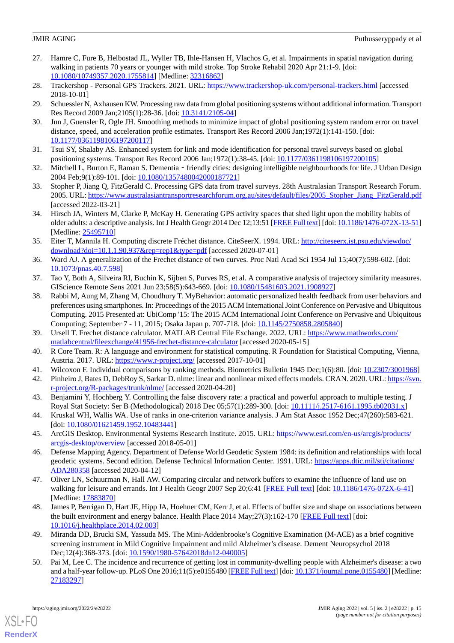- <span id="page-14-0"></span>27. Hamre C, Fure B, Helbostad JL, Wyller TB, Ihle-Hansen H, Vlachos G, et al. Impairments in spatial navigation during walking in patients 70 years or younger with mild stroke. Top Stroke Rehabil 2020 Apr 21:1-9. [doi: [10.1080/10749357.2020.1755814\]](http://dx.doi.org/10.1080/10749357.2020.1755814) [Medline: [32316862\]](http://www.ncbi.nlm.nih.gov/entrez/query.fcgi?cmd=Retrieve&db=PubMed&list_uids=32316862&dopt=Abstract)
- <span id="page-14-2"></span><span id="page-14-1"></span>28. Trackershop - Personal GPS Trackers. 2021. URL: <https://www.trackershop-uk.com/personal-trackers.html> [accessed 2018-10-01]
- <span id="page-14-3"></span>29. Schuessler N, Axhausen KW. Processing raw data from global positioning systems without additional information. Transport Res Record 2009 Jan;2105(1):28-36. [doi: [10.3141/2105-04\]](http://dx.doi.org/10.3141/2105-04)
- <span id="page-14-4"></span>30. Jun J, Guensler R, Ogle JH. Smoothing methods to minimize impact of global positioning system random error on travel distance, speed, and acceleration profile estimates. Transport Res Record 2006 Jan;1972(1):141-150. [doi: [10.1177/0361198106197200117\]](http://dx.doi.org/10.1177/0361198106197200117)
- <span id="page-14-5"></span>31. Tsui SY, Shalaby AS. Enhanced system for link and mode identification for personal travel surveys based on global positioning systems. Transport Res Record 2006 Jan;1972(1):38-45. [doi: [10.1177/0361198106197200105\]](http://dx.doi.org/10.1177/0361198106197200105)
- <span id="page-14-6"></span>32. Mitchell L, Burton E, Raman S. Dementia‐friendly cities: designing intelligible neighbourhoods for life. J Urban Design 2004 Feb;9(1):89-101. [doi: [10.1080/1357480042000187721](http://dx.doi.org/10.1080/1357480042000187721)]
- <span id="page-14-7"></span>33. Stopher P, Jiang Q, FitzGerald C. Processing GPS data from travel surveys. 28th Australasian Transport Research Forum. 2005. URL: [https://www.australasiantransportresearchforum.org.au/sites/default/files/2005\\_Stopher\\_Jiang\\_FitzGerald.pdf](https://www.australasiantransportresearchforum.org.au/sites/default/files/2005_Stopher_Jiang_FitzGerald.pdf) [accessed 2022-03-21]
- <span id="page-14-8"></span>34. Hirsch JA, Winters M, Clarke P, McKay H. Generating GPS activity spaces that shed light upon the mobility habits of older adults: a descriptive analysis. Int J Health Geogr 2014 Dec 12;13:51 [\[FREE Full text](https://ij-healthgeographics.biomedcentral.com/articles/10.1186/1476-072X-13-51)] [doi: [10.1186/1476-072X-13-51](http://dx.doi.org/10.1186/1476-072X-13-51)] [Medline: [25495710](http://www.ncbi.nlm.nih.gov/entrez/query.fcgi?cmd=Retrieve&db=PubMed&list_uids=25495710&dopt=Abstract)]
- <span id="page-14-9"></span>35. Eiter T, Mannila H. Computing discrete Fréchet distance. CiteSeerX. 1994. URL: [http://citeseerx.ist.psu.edu/viewdoc/](http://citeseerx.ist.psu.edu/viewdoc/download?doi=10.1.1.90.937&rep=rep1&type=pdf) [download?doi=10.1.1.90.937&rep=rep1&type=pdf](http://citeseerx.ist.psu.edu/viewdoc/download?doi=10.1.1.90.937&rep=rep1&type=pdf) [accessed 2020-07-01]
- <span id="page-14-11"></span><span id="page-14-10"></span>36. Ward AJ. A generalization of the Frechet distance of two curves. Proc Natl Acad Sci 1954 Jul 15;40(7):598-602. [doi: [10.1073/pnas.40.7.598\]](http://dx.doi.org/10.1073/pnas.40.7.598)
- 37. Tao Y, Both A, Silveira RI, Buchin K, Sijben S, Purves RS, et al. A comparative analysis of trajectory similarity measures. GIScience Remote Sens 2021 Jun 23;58(5):643-669. [doi: [10.1080/15481603.2021.1908927\]](http://dx.doi.org/10.1080/15481603.2021.1908927)
- <span id="page-14-12"></span>38. Rabbi M, Aung M, Zhang M, Choudhury T. MyBehavior: automatic personalized health feedback from user behaviors and preferences using smartphones. In: Proceedings of the 2015 ACM International Joint Conference on Pervasive and Ubiquitous Computing. 2015 Presented at: UbiComp '15: The 2015 ACM International Joint Conference on Pervasive and Ubiquitous Computing; September 7 - 11, 2015; Osaka Japan p. 707-718. [doi: [10.1145/2750858.2805840\]](http://dx.doi.org/10.1145/2750858.2805840)
- <span id="page-14-15"></span><span id="page-14-14"></span><span id="page-14-13"></span>39. Ursell T. Frechet distance calculator. MATLAB Central File Exchange. 2022. URL: [https://www.mathworks.com/](https://www.mathworks.com/matlabcentral/fileexchange/41956-frechet-distance-calculator) [matlabcentral/fileexchange/41956-frechet-distance-calculator](https://www.mathworks.com/matlabcentral/fileexchange/41956-frechet-distance-calculator) [accessed 2020-05-15]
- <span id="page-14-16"></span>40. R Core Team. R: A language and environment for statistical computing. R Foundation for Statistical Computing, Vienna, Austria. 2017. URL:<https://www.r-project.org/> [accessed 2017-10-01]
- <span id="page-14-17"></span>41. Wilcoxon F. Individual comparisons by ranking methods. Biometrics Bulletin 1945 Dec;1(6):80. [doi: [10.2307/3001968](http://dx.doi.org/10.2307/3001968)] 42. Pinheiro J, Bates D, DebRoy S, Sarkar D. nlme: linear and nonlinear mixed effects models. CRAN. 2020. URL: [https://svn.](https://svn.r-project.org/R-packages/trunk/nlme/)
- <span id="page-14-18"></span>[r-project.org/R-packages/trunk/nlme/](https://svn.r-project.org/R-packages/trunk/nlme/) [accessed 2020-04-20] 43. Benjamini Y, Hochberg Y. Controlling the false discovery rate: a practical and powerful approach to multiple testing. J
- <span id="page-14-19"></span>Royal Stat Society: Ser B (Methodological) 2018 Dec 05;57(1):289-300. [doi: [10.1111/j.2517-6161.1995.tb02031.x\]](http://dx.doi.org/10.1111/j.2517-6161.1995.tb02031.x) 44. Kruskal WH, Wallis WA. Use of ranks in one-criterion variance analysis. J Am Stat Assoc 1952 Dec;47(260):583-621. [doi: [10.1080/01621459.1952.10483441](http://dx.doi.org/10.1080/01621459.1952.10483441)]
- <span id="page-14-20"></span>45. ArcGIS Desktop. Environmental Systems Research Institute. 2015. URL: [https://www.esri.com/en-us/arcgis/products/](https://www.esri.com/en-us/arcgis/products/arcgis-desktop/overview) [arcgis-desktop/overview](https://www.esri.com/en-us/arcgis/products/arcgis-desktop/overview) [accessed 2018-05-01]
- <span id="page-14-21"></span>46. Defense Mapping Agency. Department of Defense World Geodetic System 1984: its definition and relationships with local geodetic systems. Second edition. Defense Technical Information Center. 1991. URL: [https://apps.dtic.mil/sti/citations/](https://apps.dtic.mil/sti/citations/ADA280358) [ADA280358](https://apps.dtic.mil/sti/citations/ADA280358) [accessed 2020-04-12]
- <span id="page-14-22"></span>47. Oliver LN, Schuurman N, Hall AW. Comparing circular and network buffers to examine the influence of land use on walking for leisure and errands. Int J Health Geogr 2007 Sep 20;6:41 [[FREE Full text](https://ij-healthgeographics.biomedcentral.com/articles/10.1186/1476-072X-6-41)] [doi: [10.1186/1476-072X-6-41](http://dx.doi.org/10.1186/1476-072X-6-41)] [Medline: [17883870](http://www.ncbi.nlm.nih.gov/entrez/query.fcgi?cmd=Retrieve&db=PubMed&list_uids=17883870&dopt=Abstract)]
- <span id="page-14-23"></span>48. James P, Berrigan D, Hart JE, Hipp JA, Hoehner CM, Kerr J, et al. Effects of buffer size and shape on associations between the built environment and energy balance. Health Place 2014 May; 27(3):162-170 [\[FREE Full text\]](http://resolver.ebscohost.com/openurl?sid=EMBASE&issn=18732054&id=doi:10.1016%2Fj.healthplace.2014.02.003&atitle=Effects+of+buffer+size+and+shape+on+associations+between+the+built+environment+and+energy+balance&stitle=Health+Place&title=Health+and+Place&volume=27&issue=&spage=162&epage=170&aulast=James&aufirst=Peter&auinit=P.&aufull=James+P.&coden=HEPLF&isbn=&pages=162-170&date=2014&auinit1=P&auinitm=) [doi: [10.1016/j.healthplace.2014.02.003](http://dx.doi.org/10.1016/j.healthplace.2014.02.003)]
- 49. Miranda DD, Brucki SM, Yassuda MS. The Mini-Addenbrooke's Cognitive Examination (M-ACE) as a brief cognitive screening instrument in Mild Cognitive Impairment and mild Alzheimer's disease. Dement Neuropsychol 2018 Dec;12(4):368-373. [doi: [10.1590/1980-57642018dn12-040005\]](http://dx.doi.org/10.1590/1980-57642018dn12-040005)
- 50. Pai M, Lee C. The incidence and recurrence of getting lost in community-dwelling people with Alzheimer's disease: a two and a half-year follow-up. PLoS One 2016;11(5):e0155480 [[FREE Full text](https://dx.plos.org/10.1371/journal.pone.0155480)] [doi: [10.1371/journal.pone.0155480\]](http://dx.doi.org/10.1371/journal.pone.0155480) [Medline: [27183297](http://www.ncbi.nlm.nih.gov/entrez/query.fcgi?cmd=Retrieve&db=PubMed&list_uids=27183297&dopt=Abstract)]